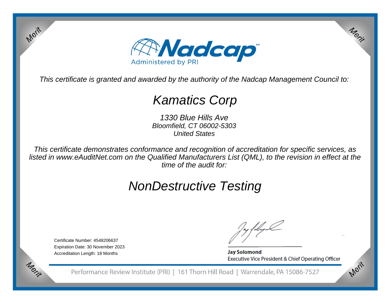

This certificate is granted and awarded by the authority of the Nadcap Management Council to:

## Kamatics Corp

1330 Blue Hills Ave Bloomfield, CT 06002-5303United States

This certificate demonstrates conformance and recognition of accreditation for specific services, as listed in www.eAuditNet.com on the Qualified Manufacturers List (QML), to the revision in effect at thetime of the audit for:

# NonDestructive Testing

Certificate Number: 4548206637 Expiration Date: 30 November 2023Accreditation Length: 18 Months

Merit

Merit

**Jay Solomond** Executive Vice President & Chief Operating Officer Merit

Merit

Performance Review Institute (PRI) | 161 Thorn Hill Road | Warrendale, PA 15086-7527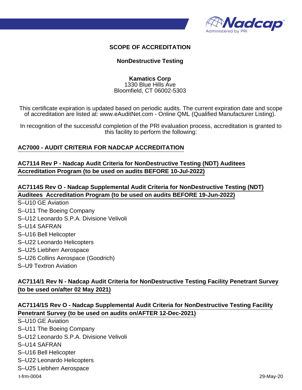

#### **SCOPE OF ACCREDITATION**

#### **NonDestructive Testing**

**Kamatics Corp** 1330 Blue Hills Ave Bloomfield, CT 06002-5303

This certificate expiration is updated based on periodic audits. The current expiration date and scope of accreditation are listed at: www.eAuditNet.com - Online QML (Qualified Manufacturer Listing).

In recognition of the successful completion of the PRI evaluation process, accreditation is granted to this facility to perform the following:

#### **AC7000 - AUDIT CRITERIA FOR NADCAP ACCREDITATION**

**AC7114 Rev P - Nadcap Audit Criteria for NonDestructive Testing (NDT) Auditees Accreditation Program (to be used on audits BEFORE 10-Jul-2022)**

**AC7114S Rev O - Nadcap Supplemental Audit Criteria for NonDestructive Testing (NDT) Auditees Accreditation Program (to be used on audits BEFORE 19-Jun-2022)**

- S–U10 GE Aviation
- S–U11 The Boeing Company
- S–U12 Leonardo S.P.A. Divisione Velivoli
- S–U14 SAFRAN
- S–U16 Bell Helicopter
- S–U22 Leonardo Helicopters
- S–U25 Liebherr Aerospace
- S–U26 Collins Aerospace (Goodrich)
- S–U9 Textron Aviation

### **AC7114/1 Rev N - Nadcap Audit Criteria for NonDestructive Testing Facility Penetrant Survey (to be used on/after 02 May 2021)**

#### **AC7114/1S Rev O - Nadcap Supplemental Audit Criteria for NonDestructive Testing Facility Penetrant Survey (to be used on audits on/AFTER 12-Dec-2021)**

S–U10 GE Aviation

S–U11 The Boeing Company

S–U12 Leonardo S.P.A. Divisione Velivoli

S–U14 SAFRAN

- S–U16 Bell Helicopter
- S–U22 Leonardo Helicopters
- S–U25 Liebherr Aerospace